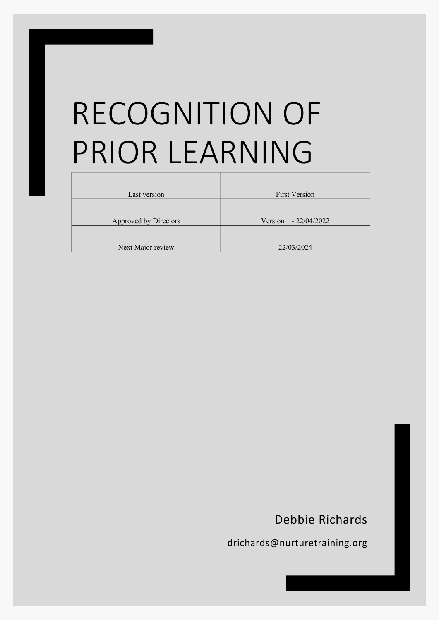# RECOGNITION OF PRIOR LEARNING

| Last version          | <b>First Version</b>   |  |  |
|-----------------------|------------------------|--|--|
|                       |                        |  |  |
| Approved by Directors | Version 1 - 22/04/2022 |  |  |
|                       |                        |  |  |
| Next Major review     | 22/03/2024             |  |  |

# Debbie Richards

drichards@nurturetraining.org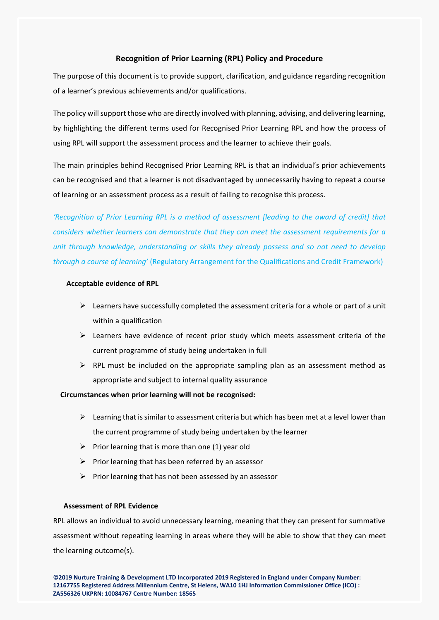# **Recognition of Prior Learning (RPL) Policy and Procedure**

The purpose of this document is to provide support, clarification, and guidance regarding recognition of a learner's previous achievements and/or qualifications.

The policy will support those who are directly involved with planning, advising, and delivering learning, by highlighting the different terms used for Recognised Prior Learning RPL and how the process of using RPL will support the assessment process and the learner to achieve their goals.

The main principles behind Recognised Prior Learning RPL is that an individual's prior achievements can be recognised and that a learner is not disadvantaged by unnecessarily having to repeat a course of learning or an assessment process as a result of failing to recognise this process.

*'Recognition of Prior Learning RPL is a method of assessment [leading to the award of credit] that considers whether learners can demonstrate that they can meet the assessment requirements for a unit through knowledge, understanding or skills they already possess and so not need to develop through a course of learning'* (Regulatory Arrangement for the Qualifications and Credit Framework)

#### **Acceptable evidence of RPL**

- $\triangleright$  Learners have successfully completed the assessment criteria for a whole or part of a unit within a qualification
- $\triangleright$  Learners have evidence of recent prior study which meets assessment criteria of the current programme of study being undertaken in full
- $\triangleright$  RPL must be included on the appropriate sampling plan as an assessment method as appropriate and subject to internal quality assurance

# **Circumstances when prior learning will not be recognised:**

- $\triangleright$  Learning that is similar to assessment criteria but which has been met at a level lower than the current programme of study being undertaken by the learner
- $\triangleright$  Prior learning that is more than one (1) year old
- $\triangleright$  Prior learning that has been referred by an assessor
- $\triangleright$  Prior learning that has not been assessed by an assessor

#### **Assessment of RPL Evidence**

RPL allows an individual to avoid unnecessary learning, meaning that they can present for summative assessment without repeating learning in areas where they will be able to show that they can meet the learning outcome(s).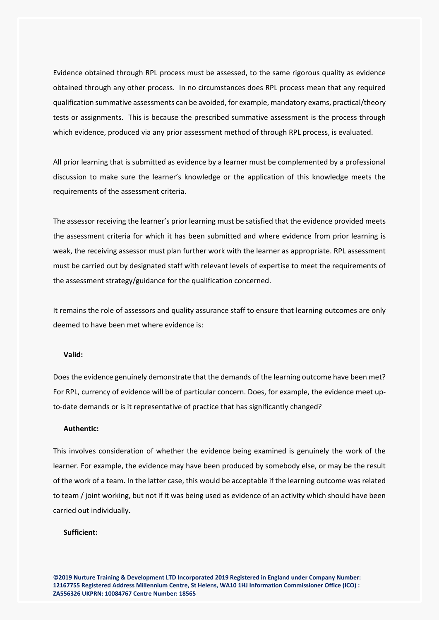Evidence obtained through RPL process must be assessed, to the same rigorous quality as evidence obtained through any other process. In no circumstances does RPL process mean that any required qualification summative assessments can be avoided, for example, mandatory exams, practical/theory tests or assignments. This is because the prescribed summative assessment is the process through which evidence, produced via any prior assessment method of through RPL process, is evaluated.

All prior learning that is submitted as evidence by a learner must be complemented by a professional discussion to make sure the learner's knowledge or the application of this knowledge meets the requirements of the assessment criteria.

The assessor receiving the learner's prior learning must be satisfied that the evidence provided meets the assessment criteria for which it has been submitted and where evidence from prior learning is weak, the receiving assessor must plan further work with the learner as appropriate. RPL assessment must be carried out by designated staff with relevant levels of expertise to meet the requirements of the assessment strategy/guidance for the qualification concerned.

It remains the role of assessors and quality assurance staff to ensure that learning outcomes are only deemed to have been met where evidence is:

# **Valid:**

Does the evidence genuinely demonstrate that the demands of the learning outcome have been met? For RPL, currency of evidence will be of particular concern. Does, for example, the evidence meet upto-date demands or is it representative of practice that has significantly changed?

#### **Authentic:**

This involves consideration of whether the evidence being examined is genuinely the work of the learner. For example, the evidence may have been produced by somebody else, or may be the result of the work of a team. In the latter case, this would be acceptable if the learning outcome was related to team / joint working, but not if it was being used as evidence of an activity which should have been carried out individually.

## **Sufficient:**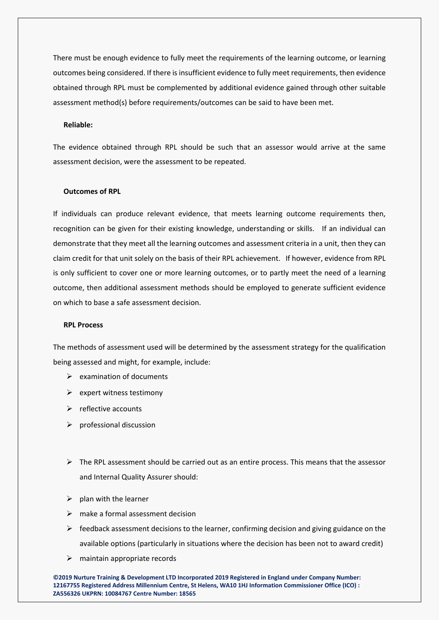There must be enough evidence to fully meet the requirements of the learning outcome, or learning outcomes being considered. If there is insufficient evidence to fully meet requirements, then evidence obtained through RPL must be complemented by additional evidence gained through other suitable assessment method(s) before requirements/outcomes can be said to have been met.

#### **Reliable:**

The evidence obtained through RPL should be such that an assessor would arrive at the same assessment decision, were the assessment to be repeated.

#### **Outcomes of RPL**

If individuals can produce relevant evidence, that meets learning outcome requirements then, recognition can be given for their existing knowledge, understanding or skills. If an individual can demonstrate that they meet all the learning outcomes and assessment criteria in a unit, then they can claim credit for that unit solely on the basis of their RPL achievement. If however, evidence from RPL is only sufficient to cover one or more learning outcomes, or to partly meet the need of a learning outcome, then additional assessment methods should be employed to generate sufficient evidence on which to base a safe assessment decision.

#### **RPL Process**

The methods of assessment used will be determined by the assessment strategy for the qualification being assessed and might, for example, include:

- $\triangleright$  examination of documents
- $\triangleright$  expert witness testimony
- $\triangleright$  reflective accounts
- $\triangleright$  professional discussion
- $\triangleright$  The RPL assessment should be carried out as an entire process. This means that the assessor and Internal Quality Assurer should:
- $\triangleright$  plan with the learner
- $\triangleright$  make a formal assessment decision
- $\triangleright$  feedback assessment decisions to the learner, confirming decision and giving guidance on the available options (particularly in situations where the decision has been not to award credit)
- $\triangleright$  maintain appropriate records

**©2019 Nurture Training & Development LTD Incorporated 2019 Registered in England under Company Number: 12167755 Registered Address Millennium Centre, St Helens, WA10 1HJ Information Commissioner Office (ICO) : ZA556326 UKPRN: 10084767 Centre Number: 18565**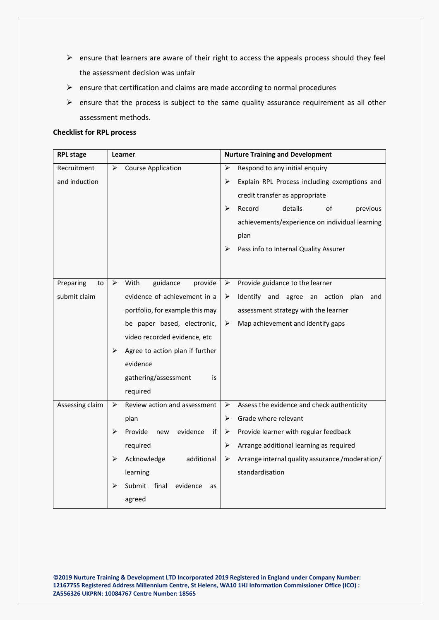- $\triangleright$  ensure that learners are aware of their right to access the appeals process should they feel the assessment decision was unfair
- $\triangleright$  ensure that certification and claims are made according to normal procedures
- $\triangleright$  ensure that the process is subject to the same quality assurance requirement as all other assessment methods.

#### **Checklist for RPL process**

| <b>RPL stage</b> | Learner                                | <b>Nurture Training and Development</b>               |  |  |
|------------------|----------------------------------------|-------------------------------------------------------|--|--|
| Recruitment      | <b>Course Application</b><br>➤         | Respond to any initial enquiry<br>➤                   |  |  |
| and induction    |                                        | Explain RPL Process including exemptions and<br>➤     |  |  |
|                  |                                        | credit transfer as appropriate                        |  |  |
|                  |                                        | ≻<br>Record<br>details<br>of<br>previous              |  |  |
|                  |                                        | achievements/experience on individual learning        |  |  |
|                  |                                        | plan                                                  |  |  |
|                  |                                        | Pass info to Internal Quality Assurer<br>➤            |  |  |
|                  |                                        |                                                       |  |  |
|                  |                                        |                                                       |  |  |
| Preparing<br>to  | ➤<br>With<br>guidance<br>provide       | Provide guidance to the learner<br>➤                  |  |  |
| submit claim     | evidence of achievement in a           | Identify and agree an action<br>plan<br>➤<br>and      |  |  |
|                  | portfolio, for example this may        | assessment strategy with the learner                  |  |  |
|                  | be paper based, electronic,            | Map achievement and identify gaps<br>➤                |  |  |
|                  | video recorded evidence, etc           |                                                       |  |  |
|                  | Agree to action plan if further<br>➤   |                                                       |  |  |
|                  | evidence                               |                                                       |  |  |
|                  | gathering/assessment                   | is                                                    |  |  |
|                  | required                               |                                                       |  |  |
| Assessing claim  | Review action and assessment<br>➤      | Assess the evidence and check authenticity<br>➤       |  |  |
|                  | plan                                   | Grade where relevant<br>≻                             |  |  |
|                  | Provide<br>evidence<br>⋗<br>new        | Provide learner with regular feedback<br>if<br>➤      |  |  |
|                  | required                               | Arrange additional learning as required<br>➤          |  |  |
|                  | ➤<br>Acknowledge<br>additional         | Arrange internal quality assurance / moderation/<br>➤ |  |  |
|                  | learning                               | standardisation                                       |  |  |
|                  | Submit<br>final<br>evidence<br>⋗<br>as |                                                       |  |  |
|                  | agreed                                 |                                                       |  |  |
|                  |                                        |                                                       |  |  |

**©2019 Nurture Training & Development LTD Incorporated 2019 Registered in England under Company Number: 12167755 Registered Address Millennium Centre, St Helens, WA10 1HJ Information Commissioner Office (ICO) : ZA556326 UKPRN: 10084767 Centre Number: 18565**